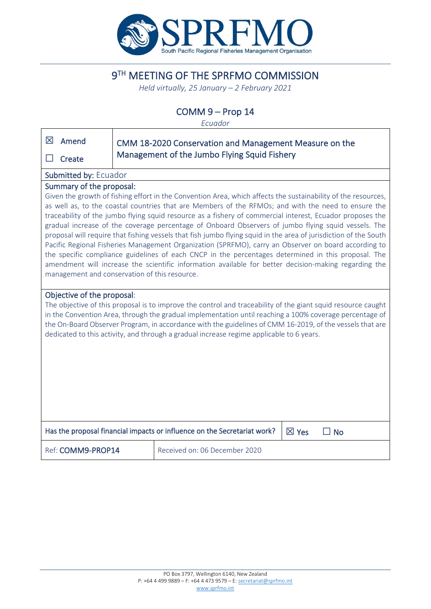

# 9TH MEETING OF THE SPRFMO COMMISSION

*Held virtually, 25 January – 2 February 2021*

# COMM 9 – Prop 14

*Ecuador*

| 区<br>Amend                                                                                                                                                                                                                                                                                                                                                                                                                                                                                                                                                                                                                                                                                                                                                                                                                                                                                                                                                        |                   | CMM 18-2020 Conservation and Management Measure on the |
|-------------------------------------------------------------------------------------------------------------------------------------------------------------------------------------------------------------------------------------------------------------------------------------------------------------------------------------------------------------------------------------------------------------------------------------------------------------------------------------------------------------------------------------------------------------------------------------------------------------------------------------------------------------------------------------------------------------------------------------------------------------------------------------------------------------------------------------------------------------------------------------------------------------------------------------------------------------------|-------------------|--------------------------------------------------------|
| Create                                                                                                                                                                                                                                                                                                                                                                                                                                                                                                                                                                                                                                                                                                                                                                                                                                                                                                                                                            |                   | Management of the Jumbo Flying Squid Fishery           |
| <b>Submitted by: Ecuador</b>                                                                                                                                                                                                                                                                                                                                                                                                                                                                                                                                                                                                                                                                                                                                                                                                                                                                                                                                      |                   |                                                        |
| Summary of the proposal:<br>Given the growth of fishing effort in the Convention Area, which affects the sustainability of the resources,<br>as well as, to the coastal countries that are Members of the RFMOs; and with the need to ensure the<br>traceability of the jumbo flying squid resource as a fishery of commercial interest, Ecuador proposes the<br>gradual increase of the coverage percentage of Onboard Observers of jumbo flying squid vessels. The<br>proposal will require that fishing vessels that fish jumbo flying squid in the area of jurisdiction of the South<br>Pacific Regional Fisheries Management Organization (SPRFMO), carry an Observer on board according to<br>the specific compliance guidelines of each CNCP in the percentages determined in this proposal. The<br>amendment will increase the scientific information available for better decision-making regarding the<br>management and conservation of this resource. |                   |                                                        |
| Objective of the proposal:<br>The objective of this proposal is to improve the control and traceability of the giant squid resource caught<br>in the Convention Area, through the gradual implementation until reaching a 100% coverage percentage of<br>the On-Board Observer Program, in accordance with the guidelines of CMM 16-2019, of the vessels that are<br>dedicated to this activity, and through a gradual increase regime applicable to 6 years.                                                                                                                                                                                                                                                                                                                                                                                                                                                                                                     |                   |                                                        |
| Has the proposal financial impacts or influence on the Secretariat work?<br>$\boxtimes$ Yes<br>$\square$ No                                                                                                                                                                                                                                                                                                                                                                                                                                                                                                                                                                                                                                                                                                                                                                                                                                                       |                   |                                                        |
|                                                                                                                                                                                                                                                                                                                                                                                                                                                                                                                                                                                                                                                                                                                                                                                                                                                                                                                                                                   | Ref: COMM9-PROP14 | Received on: 06 December 2020                          |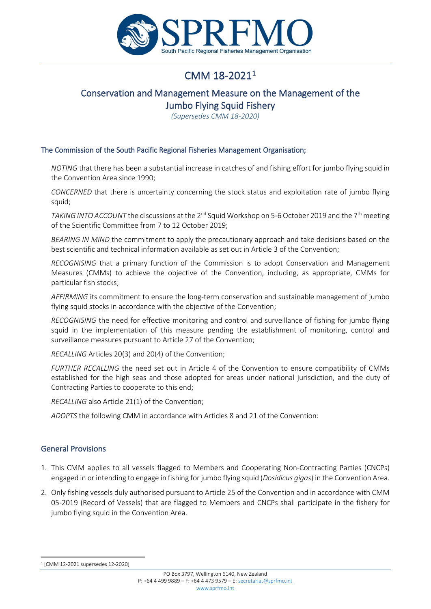

# CMM 18-2021[1](#page-1-0)

# Conservation and Management Measure on the Management of the Jumbo Flying Squid Fishery

*(Supersedes CMM 18-2020)*

#### The Commission of the South Pacific Regional Fisheries Management Organisation;

*NOTING* that there has been a substantial increase in catches of and fishing effort for jumbo flying squid in the Convention Area since 1990;

*CONCERNED* that there is uncertainty concerning the stock status and exploitation rate of jumbo flying squid;

*TAKING INTO ACCOUNT* the discussions at the 2<sup>nd</sup> Squid Workshop on 5-6 October 2019 and the 7<sup>th</sup> meeting of the Scientific Committee from 7 to 12 October 2019;

*BEARING IN MIND* the commitment to apply the precautionary approach and take decisions based on the best scientific and technical information available as set out in Article 3 of the Convention;

*RECOGNISING* that a primary function of the Commission is to adopt Conservation and Management Measures (CMMs) to achieve the objective of the Convention, including, as appropriate, CMMs for particular fish stocks;

*AFFIRMING* its commitment to ensure the long-term conservation and sustainable management of jumbo flying squid stocks in accordance with the objective of the Convention;

*RECOGNISING* the need for effective monitoring and control and surveillance of fishing for jumbo flying squid in the implementation of this measure pending the establishment of monitoring, control and surveillance measures pursuant to Article 27 of the Convention;

*RECALLING* Articles 20(3) and 20(4) of the Convention;

*FURTHER RECALLING* the need set out in Article 4 of the Convention to ensure compatibility of CMMs established for the high seas and those adopted for areas under national jurisdiction, and the duty of Contracting Parties to cooperate to this end;

*RECALLING* also Article 21(1) of the Convention;

*ADOPTS* the following CMM in accordance with Articles 8 and 21 of the Convention:

#### General Provisions

- 1. This CMM applies to all vessels flagged to Members and Cooperating Non-Contracting Parties (CNCPs) engaged in or intending to engage in fishing for jumbo flying squid (*Dosidicus gigas*) in the Convention Area.
- 2. Only fishing vessels duly authorised pursuant to Article 25 of the Convention and in accordance with CMM 05-2019 (Record of Vessels) that are flagged to Members and CNCPs shall participate in the fishery for jumbo flying squid in the Convention Area.

<span id="page-1-0"></span><sup>1</sup> [CMM 12-2021 supersedes 12-2020]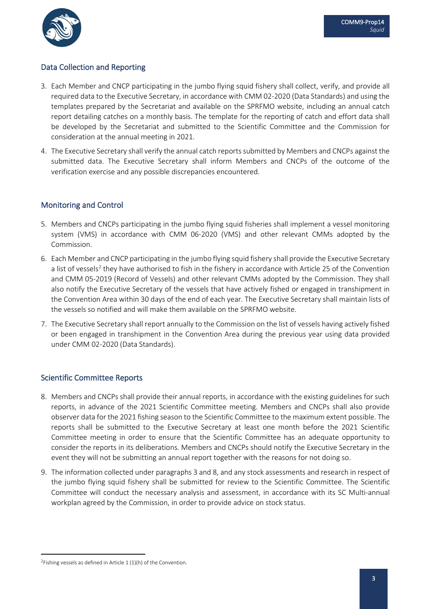

# Data Collection and Reporting

- 3. Each Member and CNCP participating in the jumbo flying squid fishery shall collect, verify, and provide all required data to the Executive Secretary, in accordance with CMM 02-2020 (Data Standards) and using the templates prepared by the Secretariat and available on the SPRFMO website, including an annual catch report detailing catches on a monthly basis. The template for the reporting of catch and effort data shall be developed by the Secretariat and submitted to the Scientific Committee and the Commission for consideration at the annual meeting in 2021.
- 4. The Executive Secretary shall verify the annual catch reports submitted by Members and CNCPs against the submitted data. The Executive Secretary shall inform Members and CNCPs of the outcome of the verification exercise and any possible discrepancies encountered.

# Monitoring and Control

- 5. Members and CNCPs participating in the jumbo flying squid fisheries shall implement a vessel monitoring system (VMS) in accordance with CMM 06-2020 (VMS) and other relevant CMMs adopted by the Commission.
- 6. Each Member and CNCP participating in the jumbo flying squid fishery shall provide the Executive Secretary a list of vessels<sup>[2](#page-2-0)</sup> they have authorised to fish in the fishery in accordance with Article 25 of the Convention and CMM 05-2019 (Record of Vessels) and other relevant CMMs adopted by the Commission. They shall also notify the Executive Secretary of the vessels that have actively fished or engaged in transhipment in the Convention Area within 30 days of the end of each year. The Executive Secretary shall maintain lists of the vessels so notified and will make them available on the SPRFMO website.
- 7. The Executive Secretary shall report annually to the Commission on the list of vessels having actively fished or been engaged in transhipment in the Convention Area during the previous year using data provided under CMM 02-2020 (Data Standards).

## Scientific Committee Reports

- 8. Members and CNCPs shall provide their annual reports, in accordance with the existing guidelines for such reports, in advance of the 2021 Scientific Committee meeting. Members and CNCPs shall also provide observer data for the 2021 fishing season to the Scientific Committee to the maximum extent possible. The reports shall be submitted to the Executive Secretary at least one month before the 2021 Scientific Committee meeting in order to ensure that the Scientific Committee has an adequate opportunity to consider the reports in its deliberations. Members and CNCPs should notify the Executive Secretary in the event they will not be submitting an annual report together with the reasons for not doing so.
- 9. The information collected under paragraphs 3 and 8, and any stock assessments and research in respect of the jumbo flying squid fishery shall be submitted for review to the Scientific Committee. The Scientific Committee will conduct the necessary analysis and assessment, in accordance with its SC Multi-annual workplan agreed by the Commission, in order to provide advice on stock status.

<span id="page-2-0"></span><sup>&</sup>lt;sup>2</sup>Fishing vessels as defined in Article  $1(1)(h)$  of the Convention.